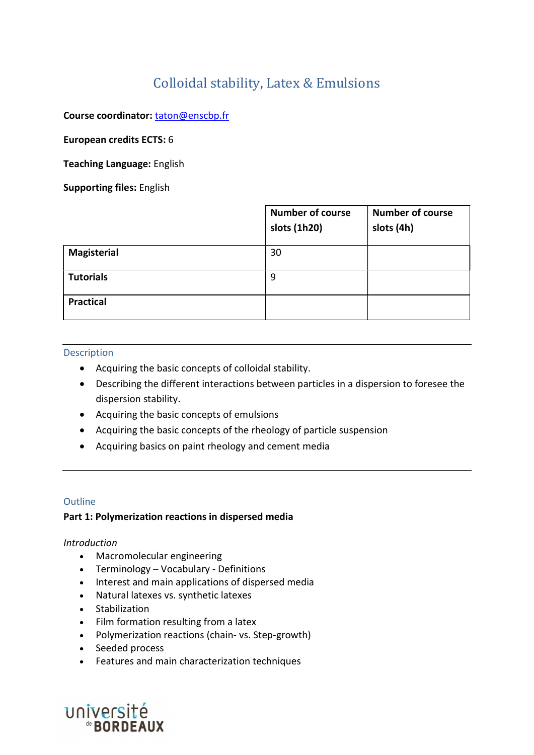# Colloidal stability, Latex & Emulsions

Course coordinator: taton@enscbp.fr

European credits ECTS: 6

Teaching Language: English

Supporting files: English

|                    | <b>Number of course</b><br>slots (1h20) | <b>Number of course</b><br>slots (4h) |
|--------------------|-----------------------------------------|---------------------------------------|
| <b>Magisterial</b> | 30                                      |                                       |
| <b>Tutorials</b>   | 9                                       |                                       |
| <b>Practical</b>   |                                         |                                       |

#### **Description**

- Acquiring the basic concepts of colloidal stability.
- Describing the different interactions between particles in a dispersion to foresee the dispersion stability.
- Acquiring the basic concepts of emulsions
- Acquiring the basic concepts of the rheology of particle suspension
- Acquiring basics on paint rheology and cement media

#### **Outline**

#### Part 1: Polymerization reactions in dispersed media

#### Introduction

- Macromolecular engineering
- Terminology Vocabulary Definitions
- Interest and main applications of dispersed media
- Natural latexes vs. synthetic latexes
- Stabilization
- Film formation resulting from a latex
- Polymerization reactions (chain- vs. Step-growth)
- Seeded process
- Features and main characterization techniques

UNIVERSITÉ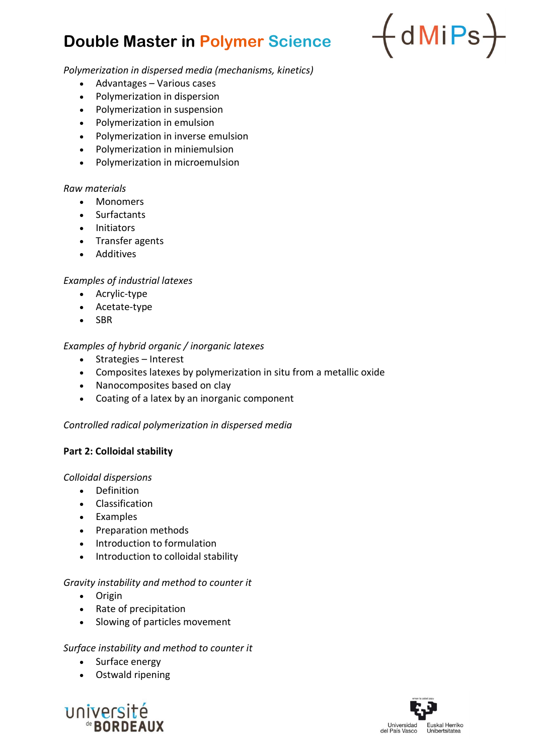# Double Master in Polymer Science



Polymerization in dispersed media (mechanisms, kinetics)

- Advantages Various cases
- Polymerization in dispersion
- Polymerization in suspension
- Polymerization in emulsion
- Polymerization in inverse emulsion
- Polymerization in miniemulsion
- Polymerization in microemulsion

## Raw materials

- Monomers
- Surfactants
- Initiators
- Transfer agents
- Additives

# Examples of industrial latexes

- Acrylic-type
- Acetate-type
- SBR

# Examples of hybrid organic / inorganic latexes

- Strategies Interest
- Composites latexes by polymerization in situ from a metallic oxide
- Nanocomposites based on clay
- Coating of a latex by an inorganic component

## Controlled radical polymerization in dispersed media

## Part 2: Colloidal stability

## Colloidal dispersions

- Definition
- Classification
- Examples
- Preparation methods
- Introduction to formulation
- Introduction to colloidal stability

## Gravity instability and method to counter it

- Origin
- Rate of precipitation
- Slowing of particles movement

# Surface instability and method to counter it

- Surface energy
- Ostwald ripening



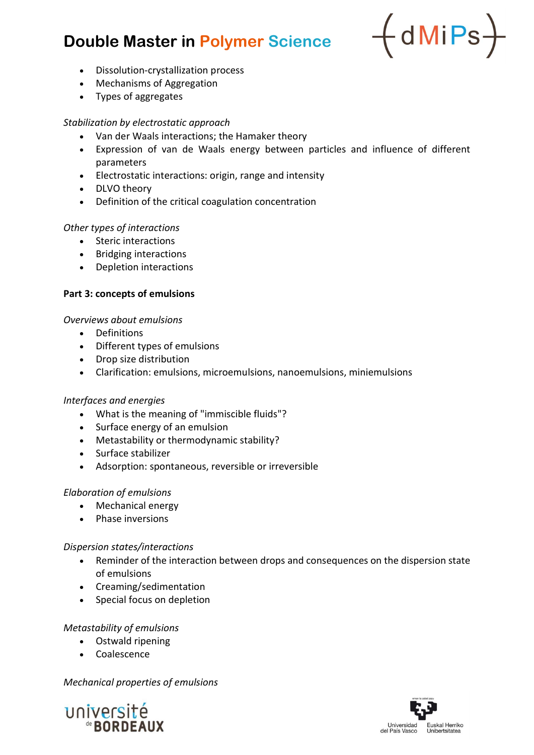# Double Master in Polymer Science



- Dissolution-crystallization process
- Mechanisms of Aggregation
- Types of aggregates

# Stabilization by electrostatic approach

- Van der Waals interactions; the Hamaker theory
- Expression of van de Waals energy between particles and influence of different parameters
- Electrostatic interactions: origin, range and intensity
- DLVO theory
- Definition of the critical coagulation concentration

# Other types of interactions

- Steric interactions
- Bridging interactions
- Depletion interactions

# Part 3: concepts of emulsions

# Overviews about emulsions

- Definitions
- Different types of emulsions
- Drop size distribution
- Clarification: emulsions, microemulsions, nanoemulsions, miniemulsions

# Interfaces and energies

- What is the meaning of "immiscible fluids"?
- Surface energy of an emulsion
- Metastability or thermodynamic stability?
- Surface stabilizer
- Adsorption: spontaneous, reversible or irreversible

# Elaboration of emulsions

- Mechanical energy
- Phase inversions

## Dispersion states/interactions

- Reminder of the interaction between drops and consequences on the dispersion state of emulsions
- Creaming/sedimentation
- Special focus on depletion

## Metastability of emulsions

- Ostwald ripening
- Coalescence

# Mechanical properties of emulsions